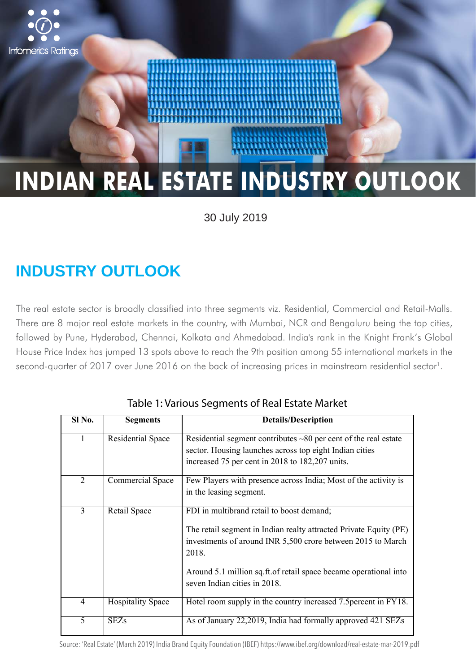

30 July 2019

# **INDUSTRY OUTLOOK**

The real estate sector is broadly classified into three segments viz. Residential, Commercial and Retail-Malls. There are 8 major real estate markets in the country, with Mumbai, NCR and Bengaluru being the top cities, followed by Pune, Hyderabad, Chennai, Kolkata and Ahmedabad. India's rank in the Knight Frank's Global House Price Index has jumped 13 spots above to reach the 9th position among 55 international markets in the second-quarter of 2017 over June 2016 on the back of increasing prices in mainstream residential sector<sup>1</sup>.

| Sl No.         | <b>Segments</b>          | <b>Details/Description</b>                                                                                                                                                                                                                                                                  |  |  |
|----------------|--------------------------|---------------------------------------------------------------------------------------------------------------------------------------------------------------------------------------------------------------------------------------------------------------------------------------------|--|--|
|                |                          |                                                                                                                                                                                                                                                                                             |  |  |
| $\mathbf{1}$   | <b>Residential Space</b> | Residential segment contributes $\sim 80$ per cent of the real estate<br>sector. Housing launches across top eight Indian cities<br>increased 75 per cent in 2018 to 182,207 units.                                                                                                         |  |  |
| 2              | Commercial Space         | Few Players with presence across India; Most of the activity is<br>in the leasing segment.                                                                                                                                                                                                  |  |  |
| 3              | <b>Retail Space</b>      | FDI in multibrand retail to boost demand;<br>The retail segment in Indian realty attracted Private Equity (PE)<br>investments of around INR 5,500 crore between 2015 to March<br>2018.<br>Around 5.1 million sq.ft. of retail space became operational into<br>seven Indian cities in 2018. |  |  |
| $\overline{4}$ | <b>Hospitality Space</b> | Hotel room supply in the country increased 7.5 percent in FY18.                                                                                                                                                                                                                             |  |  |
| 5              | <b>SEZs</b>              | As of January 22,2019, India had formally approved 421 SEZs                                                                                                                                                                                                                                 |  |  |

Table 1: Various Segments of Real Estate Market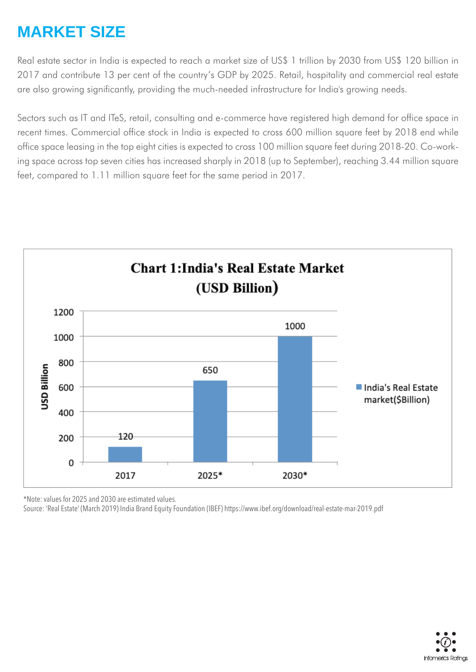## **MARKET SIZE**

Real estate sector in India is expected to reach a market size of US\$ 1 trillion by 2030 from US\$ 120 billion in 2017 and contribute 13 per cent of the country's GDP by 2025. Retail, hospitality and commercial real estate are also growing significantly, providing the much-needed infrastructure for India's growing needs.

Sectors such as IT and ITeS, retail, consulting and e-commerce have registered high demand for office space in recent times. Commercial office stock in India is expected to cross 600 million square feet by 2018 end while office space leasing in the top eight cities is expected to cross 100 million square feet during 2018-20. Co-working space across top seven cities has increased sharply in 2018 (up to September), reaching 3.44 million square feet, compared to 1.11 million square feet for the same period in 2017.



\*Note: values for 2025 and 2030 are estimated values.

Source: 'Real Estate' (March 2019) India Brand Equity Foundation (IBEF) https://www.ibef.org/download/real-estate-mar-2019.pdf

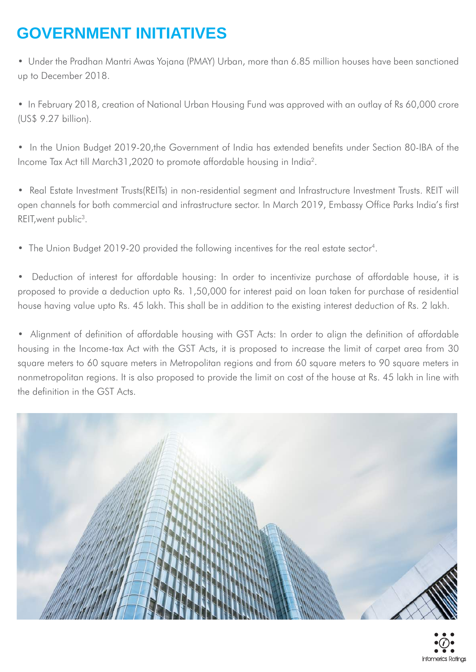# **GOVERNMENT INITIATIVES**

• Under the Pradhan Mantri Awas Yojana (PMAY) Urban, more than 6.85 million houses have been sanctioned up to December 2018.

• In February 2018, creation of National Urban Housing Fund was approved with an outlay of Rs 60,000 crore (US\$ 9.27 billion).

• In the Union Budget 2019-20,the Government of India has extended benefits under Section 80-IBA of the Income Tax Act till March31,2020 to promote affordable housing in India2.

• Real Estate Investment Trusts(REITs) in non-residential segment and Infrastructure Investment Trusts. REIT will open channels for both commercial and infrastructure sector. In March 2019, Embassy Office Parks India's first REIT, went public<sup>3</sup>.

• The Union Budget 2019-20 provided the following incentives for the real estate sector<sup>4</sup>.

• Deduction of interest for affordable housing: In order to incentivize purchase of affordable house, it is proposed to provide a deduction upto Rs. 1,50,000 for interest paid on loan taken for purchase of residential house having value upto Rs. 45 lakh. This shall be in addition to the existing interest deduction of Rs. 2 lakh.

• Alignment of definition of affordable housing with GST Acts: In order to align the definition of affordable housing in the Income-tax Act with the GST Acts, it is proposed to increase the limit of carpet area from 30 square meters to 60 square meters in Metropolitan regions and from 60 square meters to 90 square meters in nonmetropolitan regions. It is also proposed to provide the limit on cost of the house at Rs. 45 lakh in line with the definition in the GST Acts.

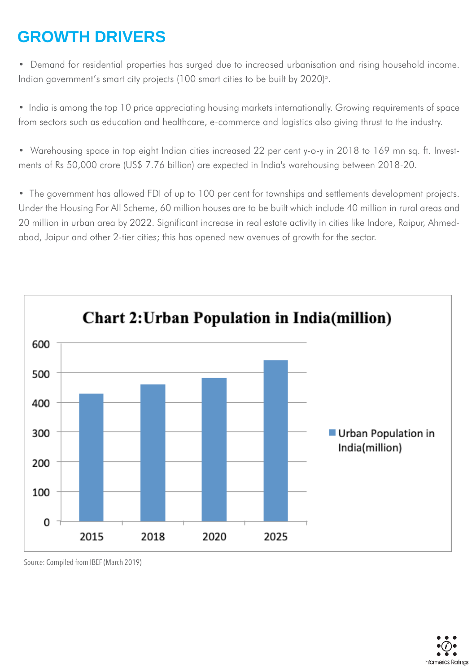## **GROWTH DRIVERS**

• Demand for residential properties has surged due to increased urbanisation and rising household income. Indian government's smart city projects (100 smart cities to be built by 2020)<sup>5</sup>.

• India is among the top 10 price appreciating housing markets internationally. Growing requirements of space from sectors such as education and healthcare, e-commerce and logistics also giving thrust to the industry.

• Warehousing space in top eight Indian cities increased 22 per cent y-o-y in 2018 to 169 mn sq. ft. Investments of Rs 50,000 crore (US\$ 7.76 billion) are expected in India's warehousing between 2018-20.

• The government has allowed FDI of up to 100 per cent for townships and settlements development projects. Under the Housing For All Scheme, 60 million houses are to be built which include 40 million in rural areas and 20 million in urban area by 2022. Significant increase in real estate activity in cities like Indore, Raipur, Ahmedabad, Jaipur and other 2-tier cities; this has opened new avenues of growth for the sector.



Source: Compiled from IBEF (March 2019)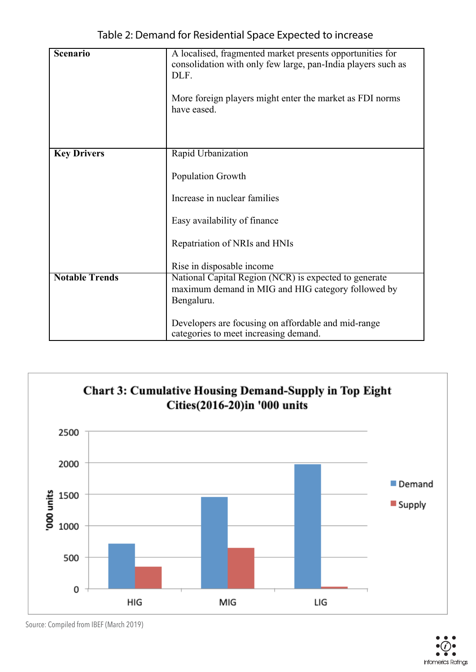| Scenario              | A localised, fragmented market presents opportunities for<br>consolidation with only few large, pan-India players such as<br>DLF. |  |
|-----------------------|-----------------------------------------------------------------------------------------------------------------------------------|--|
|                       | More foreign players might enter the market as FDI norms<br>have eased.                                                           |  |
|                       |                                                                                                                                   |  |
| <b>Key Drivers</b>    | Rapid Urbanization                                                                                                                |  |
|                       | Population Growth                                                                                                                 |  |
|                       | Increase in nuclear families                                                                                                      |  |
|                       | Easy availability of finance                                                                                                      |  |
|                       | Repatriation of NRIs and HNIs                                                                                                     |  |
|                       | Rise in disposable income                                                                                                         |  |
| <b>Notable Trends</b> | National Capital Region (NCR) is expected to generate                                                                             |  |
|                       | maximum demand in MIG and HIG category followed by<br>Bengaluru.                                                                  |  |
|                       |                                                                                                                                   |  |
|                       | Developers are focusing on affordable and mid-range<br>categories to meet increasing demand.                                      |  |



Source: Compiled from IBEF (March 2019)

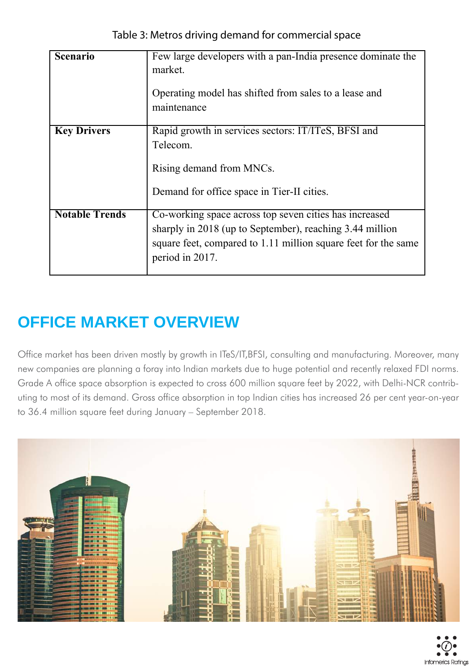| <b>Scenario</b>       | Few large developers with a pan-India presence dominate the<br>market.<br>Operating model has shifted from sales to a lease and<br>maintenance                                                          |
|-----------------------|---------------------------------------------------------------------------------------------------------------------------------------------------------------------------------------------------------|
| <b>Key Drivers</b>    | Rapid growth in services sectors: IT/ITeS, BFSI and<br>Telecom.<br>Rising demand from MNCs.<br>Demand for office space in Tier-II cities.                                                               |
| <b>Notable Trends</b> | Co-working space across top seven cities has increased<br>sharply in 2018 (up to September), reaching 3.44 million<br>square feet, compared to 1.11 million square feet for the same<br>period in 2017. |

# **OFFICE MARKET OVERVIEW**

Office market has been driven mostly by growth in ITeS/IT,BFSI, consulting and manufacturing. Moreover, many new companies are planning a foray into Indian markets due to huge potential and recently relaxed FDI norms. Grade A office space absorption is expected to cross 600 million square feet by 2022, with Delhi-NCR contributing to most of its demand. Gross office absorption in top Indian cities has increased 26 per cent year-on-year to 36.4 million square feet during January – September 2018.

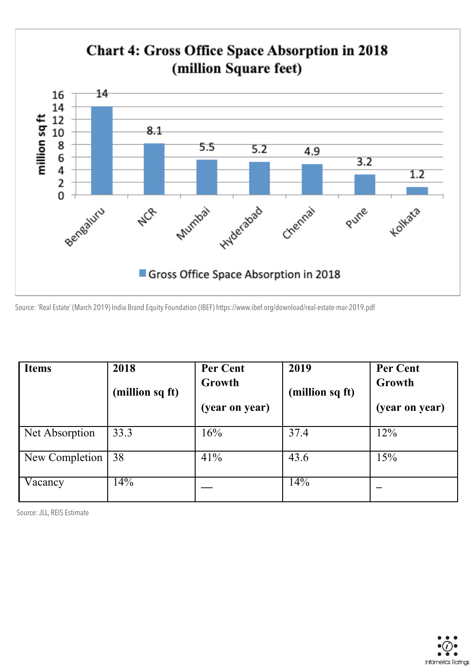

Source: 'Real Estate' (March 2019) India Brand Equity Foundation (IBEF) https://www.ibef.org/download/real-estate-mar-2019.pdf

| <b>Items</b>   | 2018             | <b>Per Cent</b> | 2019            | <b>Per Cent</b> |
|----------------|------------------|-----------------|-----------------|-----------------|
|                | (million sq ft)  | Growth          | (million sq ft) | Growth          |
|                |                  | (year on year)  |                 | (year on year)  |
| Net Absorption | 33.3             | 16%             | 37.4            | 12%             |
| New Completion | 38               | 41%             | 43.6            | 15%             |
| Vacancy        | $\overline{4\%}$ |                 | 14%             |                 |

Source: JLL, REIS Estimate

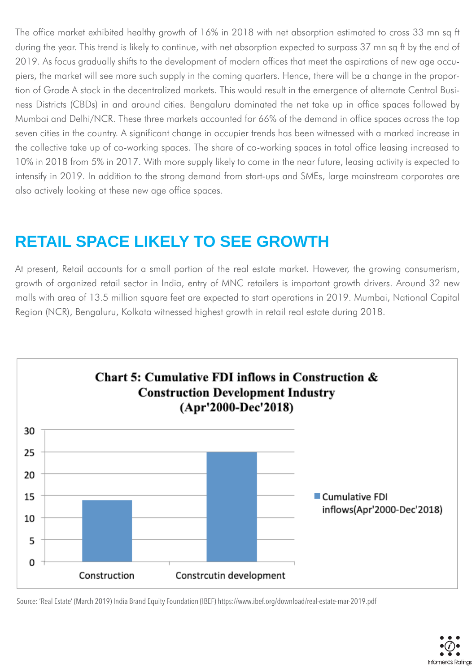The office market exhibited healthy growth of 16% in 2018 with net absorption estimated to cross 33 mn sq ft during the year. This trend is likely to continue, with net absorption expected to surpass 37 mn sq ft by the end of 2019. As focus gradually shifts to the development of modern offices that meet the aspirations of new age occupiers, the market will see more such supply in the coming quarters. Hence, there will be a change in the proportion of Grade A stock in the decentralized markets. This would result in the emergence of alternate Central Business Districts (CBDs) in and around cities. Bengaluru dominated the net take up in office spaces followed by Mumbai and Delhi/NCR. These three markets accounted for 66% of the demand in office spaces across the top seven cities in the country. A significant change in occupier trends has been witnessed with a marked increase in the collective take up of co-working spaces. The share of co-working spaces in total office leasing increased to 10% in 2018 from 5% in 2017. With more supply likely to come in the near future, leasing activity is expected to intensify in 2019. In addition to the strong demand from start-ups and SMEs, large mainstream corporates are also actively looking at these new age office spaces.

# **RETAIL SPACE LIKELY TO SEE GROWTH**

At present, Retail accounts for a small portion of the real estate market. However, the growing consumerism, growth of organized retail sector in India, entry of MNC retailers is important growth drivers. Around 32 new malls with area of 13.5 million square feet are expected to start operations in 2019. Mumbai, National Capital Region (NCR), Bengaluru, Kolkata witnessed highest growth in retail real estate during 2018.



Source: 'Real Estate' (March 2019) India Brand Equity Foundation (IBEF) https://www.ibef.org/download/real-estate-mar-2019.pdf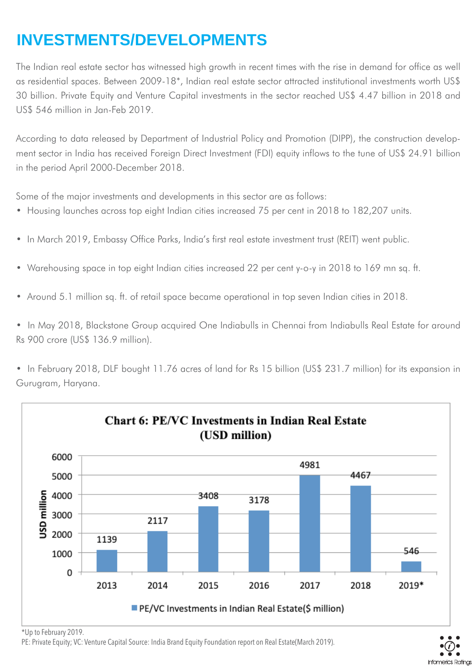# **INVESTMENTS/DEVELOPMENTS**

The Indian real estate sector has witnessed high growth in recent times with the rise in demand for office as well as residential spaces. Between 2009-18\*, Indian real estate sector attracted institutional investments worth US\$ 30 billion. Private Equity and Venture Capital investments in the sector reached US\$ 4.47 billion in 2018 and US\$ 546 million in Jan-Feb 2019.

According to data released by Department of Industrial Policy and Promotion (DIPP), the construction development sector in India has received Foreign Direct Investment (FDI) equity inflows to the tune of US\$ 24.91 billion in the period April 2000-December 2018.

Some of the major investments and developments in this sector are as follows:

- Housing launches across top eight Indian cities increased 75 per cent in 2018 to 182,207 units.
- In March 2019, Embassy Office Parks, India's first real estate investment trust (REIT) went public.
- Warehousing space in top eight Indian cities increased 22 per cent y-o-y in 2018 to 169 mn sq. ft.
- Around 5.1 million sq. ft. of retail space became operational in top seven Indian cities in 2018.

• In May 2018, Blackstone Group acquired One Indiabulls in Chennai from Indiabulls Real Estate for around Rs 900 crore (US\$ 136.9 million).

• In February 2018, DLF bought 11.76 acres of land for Rs 15 billion (US\$ 231.7 million) for its expansion in Gurugram, Haryana.



\*Up to February 2019.

PE: Private Equity; VC: Venture Capital Source: India Brand Equity Foundation report on Real Estate(March 2019).

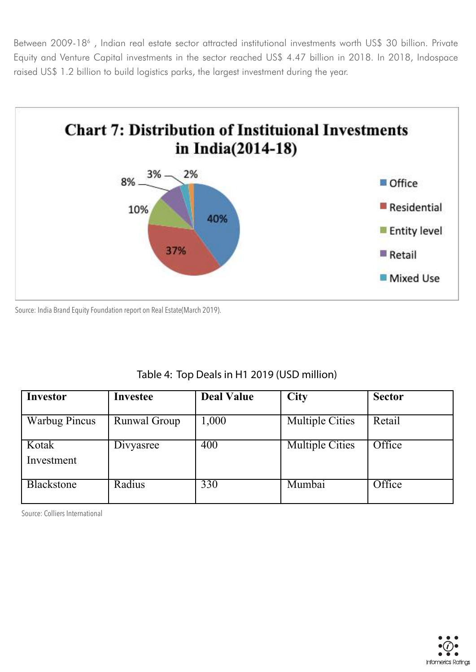Between 2009-18<sup>6</sup>, Indian real estate sector attracted institutional investments worth US\$ 30 billion. Private Equity and Venture Capital investments in the sector reached US\$ 4.47 billion in 2018. In 2018, Indospace raised US\$ 1.2 billion to build logistics parks, the largest investment during the year.



Source: India Brand Equity Foundation report on Real Estate(March 2019).

| Table 4: Top Deals in H1 2019 (USD million) |  |  |
|---------------------------------------------|--|--|
|---------------------------------------------|--|--|

| Investor             | <b>Investee</b>     | <b>Deal Value</b> | <b>City</b>            | <b>Sector</b> |
|----------------------|---------------------|-------------------|------------------------|---------------|
| <b>Warbug Pincus</b> | <b>Runwal Group</b> | 1,000             | <b>Multiple Cities</b> | Retail        |
| Kotak<br>Investment  | Divyasree           | 400               | <b>Multiple Cities</b> | Office        |
| <b>Blackstone</b>    | Radius              | 330               | Mumbai                 | Office        |

Source: Colliers International

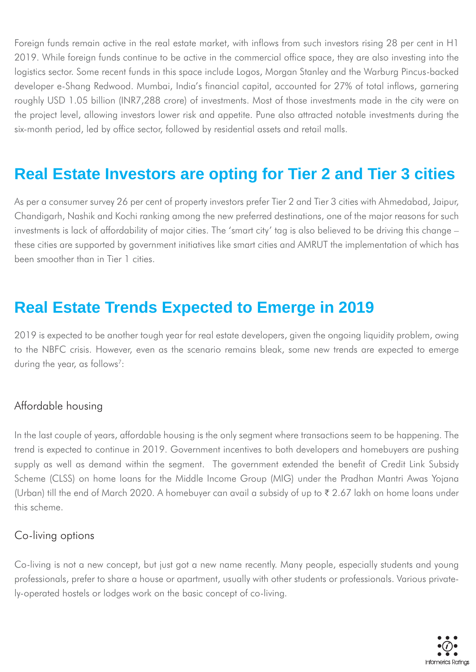Foreign funds remain active in the real estate market, with inflows from such investors rising 28 per cent in H1 2019. While foreign funds continue to be active in the commercial office space, they are also investing into the logistics sector. Some recent funds in this space include Logos, Morgan Stanley and the Warburg Pincus-backed developer e-Shang Redwood. Mumbai, India's financial capital, accounted for 27% of total inflows, garnering roughly USD 1.05 billion (INR7,288 crore) of investments. Most of those investments made in the city were on the project level, allowing investors lower risk and appetite. Pune also attracted notable investments during the six-month period, led by office sector, followed by residential assets and retail malls.

### **Real Estate Investors are opting for Tier 2 and Tier 3 cities**

As per a consumer survey 26 per cent of property investors prefer Tier 2 and Tier 3 cities with Ahmedabad, Jaipur, Chandigarh, Nashik and Kochi ranking among the new preferred destinations, one of the major reasons for such investments is lack of affordability of major cities. The 'smart city' tag is also believed to be driving this change – these cities are supported by government initiatives like smart cities and AMRUT the implementation of which has been smoother than in Tier 1 cities.

### **Real Estate Trends Expected to Emerge in 2019**

2019 is expected to be another tough year for real estate developers, given the ongoing liquidity problem, owing to the NBFC crisis. However, even as the scenario remains bleak, some new trends are expected to emerge during the year, as follows<sup>7</sup>:

### Affordable housing

In the last couple of years, affordable housing is the only segment where transactions seem to be happening. The trend is expected to continue in 2019. Government incentives to both developers and homebuyers are pushing supply as well as demand within the segment. The government extended the benefit of Credit Link Subsidy Scheme (CLSS) on home loans for the Middle Income Group (MIG) under the Pradhan Mantri Awas Yojana (Urban) till the end of March 2020. A homebuyer can avail a subsidy of up to ₹ 2.67 lakh on home loans under this scheme.

### Co-living options

Co-living is not a new concept, but just got a new name recently. Many people, especially students and young professionals, prefer to share a house or apartment, usually with other students or professionals. Various privately-operated hostels or lodges work on the basic concept of co-living.

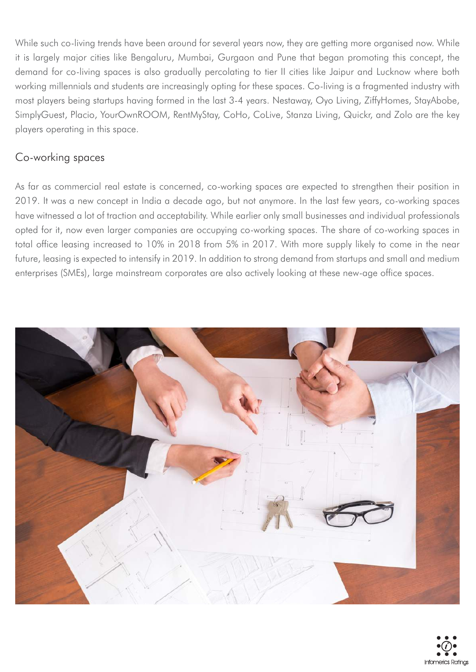While such co-living trends have been around for several years now, they are getting more organised now. While it is largely major cities like Bengaluru, Mumbai, Gurgaon and Pune that began promoting this concept, the demand for co-living spaces is also gradually percolating to tier II cities like Jaipur and Lucknow where both working millennials and students are increasingly opting for these spaces. Co-living is a fragmented industry with most players being startups having formed in the last 3-4 years. Nestaway, Oyo Living, ZiffyHomes, StayAbobe, SimplyGuest, Placio, YourOwnROOM, RentMyStay, CoHo, CoLive, Stanza Living, Quickr, and Zolo are the key players operating in this space.

### Co-working spaces

As far as commercial real estate is concerned, co-working spaces are expected to strengthen their position in 2019. It was a new concept in India a decade ago, but not anymore. In the last few years, co-working spaces have witnessed a lot of traction and acceptability. While earlier only small businesses and individual professionals opted for it, now even larger companies are occupying co-working spaces. The share of co-working spaces in total office leasing increased to 10% in 2018 from 5% in 2017. With more supply likely to come in the near future, leasing is expected to intensify in 2019. In addition to strong demand from startups and small and medium enterprises (SMEs), large mainstream corporates are also actively looking at these new-age office spaces.



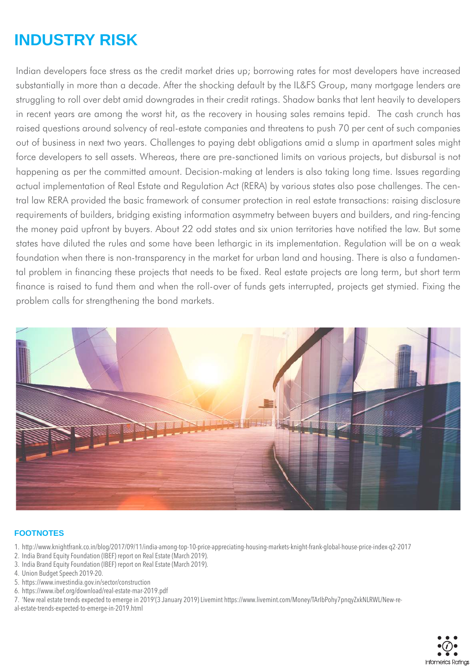# **INDUSTRY RISK**

Indian developers face stress as the credit market dries up; borrowing rates for most developers have increased substantially in more than a decade. After the shocking default by the IL&FS Group, many mortgage lenders are struggling to roll over debt amid downgrades in their credit ratings. Shadow banks that lent heavily to developers in recent years are among the worst hit, as the recovery in housing sales remains tepid. The cash crunch has raised questions around solvency of real-estate companies and threatens to push 70 per cent of such companies out of business in next two years. Challenges to paying debt obligations amid a slump in apartment sales might force developers to sell assets. Whereas, there are pre-sanctioned limits on various projects, but disbursal is not happening as per the committed amount. Decision-making at lenders is also taking long time. Issues regarding actual implementation of Real Estate and Regulation Act (RERA) by various states also pose challenges. The central law RERA provided the basic framework of consumer protection in real estate transactions: raising disclosure requirements of builders, bridging existing information asymmetry between buyers and builders, and ring-fencing the money paid upfront by buyers. About 22 odd states and six union territories have notified the law. But some states have diluted the rules and some have been lethargic in its implementation. Regulation will be on a weak foundation when there is non-transparency in the market for urban land and housing. There is also a fundamental problem in financing these projects that needs to be fixed. Real estate projects are long term, but short term finance is raised to fund them and when the roll-over of funds gets interrupted, projects get stymied. Fixing the problem calls for strengthening the bond markets.



#### **FOOTNOTES**

- 1. http://www.knightfrank.co.in/blog/2017/09/11/india-among-top-10-price-appreciating-housing-markets-knight-frank-global-house-price-index-q2-2017
- 2. India Brand Equity Foundation (IBEF) report on Real Estate (March 2019).
- 3. India Brand Equity Foundation (IBEF) report on Real Estate (March 2019).
- 4. Union Budget Speech 2019-20.
- 5. https://www.investindia.gov.in/sector/construction
- 6. https://www.ibef.org/download/real-estate-mar-2019.pdf

7. 'New real estate trends expected to emerge in 2019'(3 January 2019) Livemint https://www.livemint.com/Money/TArIbPohy7pnqyZxkNLRWL/New-re-

al-estate-trends-expected-to-emerge-in-2019.html